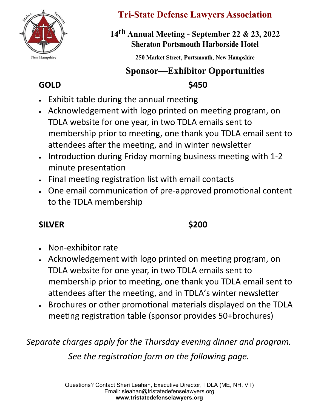

## **Tri-State Defense Lawyers Association**

## **1**4 **th Annual Meeting - September** 22 & 23**, 20**22 Sheraton Portsmouth Harborside Hotel

250 Market Street, Portsmouth, New Hampshire

# **GOLD \$450 Sponsor—Exhibitor Opportunities**

- Exhibit table during the annual meeting
- Acknowledgement with logo printed on meeting program, on TDLA website for one year, in two TDLA emails sent to membership prior to meeting, one thank you TDLA email sent to attendees after the meeting, and in winter newsletter
- Introduction during Friday morning business meeting with 1-2 minute presentation
- Final meeting registration list with email contacts
- One email communication of pre-approved promotional content to the TDLA membership

## **SILVER \$200**

- Non-exhibitor rate
- Acknowledgement with logo printed on meeting program, on TDLA website for one year, in two TDLA emails sent to membership prior to meeting, one thank you TDLA email sent to attendees after the meeting, and in TDLA's winter newsletter
- Brochures or other promotional materials displayed on the TDLA meeting registration table (sponsor provides 50+brochures)

*Separate charges apply for the Thursday evening dinner and program. See the registration form on the following page.*